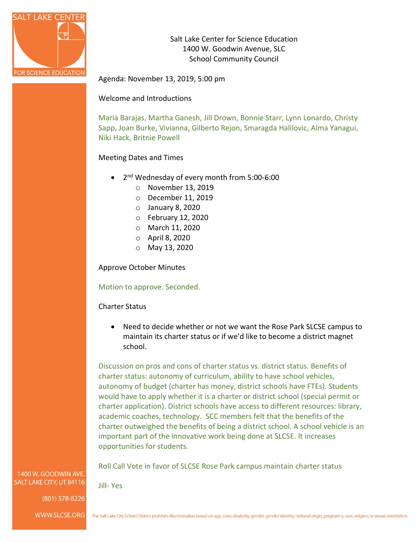

Salt Lake Center for Science Education 1400 W. Goodwin Avenue, SLC School Community Council

Agenda: November 13, 2019, 5:00 pm

#### Welcome and Introductions

Maria Barajas, Martha Ganesh, Jill Drown, Bonnie Starr, Lynn Lonardo, Christy Sapp, Joan Burke, Vivianna, Gilberto Rejon, Smaragda Halilovic, Alma Yanagui, Niki Hack, Britnie Powell

#### Meeting Dates and Times

- 2nd Wednesday of every month from 5:00-6:00
	- o November 13, 2019
	- o December 11, 2019
	- o January 8, 2020
	- o February 12, 2020
	- o March 11, 2020
	- o April 8, 2020
	- o May 13, 2020

Approve October Minutes

Motion to approve. Seconded.

#### Charter Status

Jill- Yes

• Need to decide whether or not we want the Rose Park SLCSE campus to maintain its charter status or if we'd like to become a district magnet school.

Discussion on pros and cons of charter status vs. district status. Benefits of charter status: autonomy of curriculum, ability to have school vehicles, autonomy of budget (charter has money, district schools have FTEs). Students would have to apply whether it is a charter or district school (special permit or charter application). District schools have access to different resources: library, academic coaches, technology. SCC members felt that the benefits of the charter outweighed the benefits of being a district school. A school vehicle is an important part of the innovative work being done at SLCSE. It increases opportunities for students.

Roll Call Vote in favor of SLCSE Rose Park campus maintain charter status

1400 W. GOODWIN AVE SALT LAKE CITY, UT 84116

(801) 578-8226

WWW.SLCSE.ORG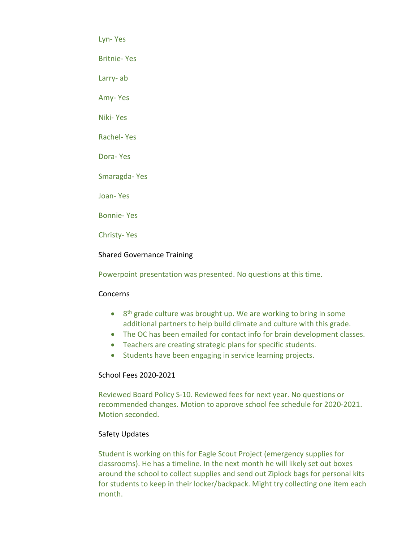Lyn- Yes

Britnie- Yes

Larry- ab

Amy- Yes

Niki- Yes

Rachel- Yes

Dora- Yes

Smaragda- Yes

Joan- Yes

Bonnie- Yes

Christy- Yes

# Shared Governance Training

Powerpoint presentation was presented. No questions at this time.

## Concerns

- 8<sup>th</sup> grade culture was brought up. We are working to bring in some additional partners to help build climate and culture with this grade.
- The OC has been emailed for contact info for brain development classes.
- Teachers are creating strategic plans for specific students.
- Students have been engaging in service learning projects.

## School Fees 2020-2021

Reviewed Board Policy S-10. Reviewed fees for next year. No questions or recommended changes. Motion to approve school fee schedule for 2020-2021. Motion seconded.

## Safety Updates

Student is working on this for Eagle Scout Project (emergency supplies for classrooms). He has a timeline. In the next month he will likely set out boxes around the school to collect supplies and send out Ziplock bags for personal kits for students to keep in their locker/backpack. Might try collecting one item each month.